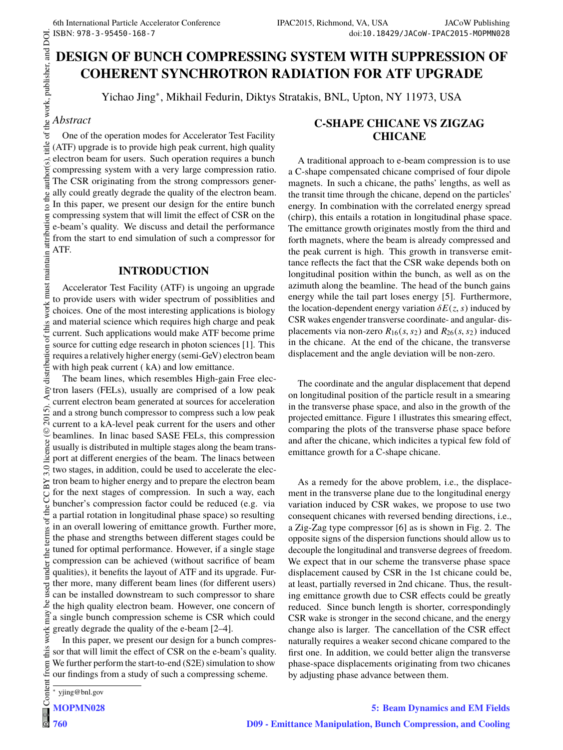# **DESIGN OF BUNCH COMPRESSING SYSTEM WITH SUPPRESSION OF COHERENT SYNCHROTRON RADIATION FOR ATF UPGRADE**

Yichao Jing<sup>∗</sup> , Mikhail Fedurin, Diktys Stratakis, BNL, Upton, NY 11973, USA

## *Abstract*

o the author(s).

maintain attribution

itle of the work, publisher, and DOI. One of the operation modes for Accelerator Test Facility (ATF) upgrade is to provide high peak current, high quality electron beam for users. Such operation requires a bunch compressing system with a very large compression ratio. The CSR originating from the strong compressors generally could greatly degrade the quality of the electron beam. In this paper, we present our design for the entire bunch compressing system that will limit the effect of CSR on the e-beam's quality. We discuss and detail the performance from the start to end simulation of such a compressor for ATF.

### **INTRODUCTION**

 $\circ$  2015). Any distribution of this work must maintain attribution to the author(s), title of the work, publisher, and DOI. work must Accelerator Test Facility (ATF) is ungoing an upgrade to provide users with wider spectrum of possiblities and choices. One of the most interesting applications is biology and material science which requires high charge and peak current. Such applications would make ATF become prime source for cutting edge research in photon sciences [1]. This requires a relatively higher energy (semi-GeV) electron beam with high peak current ( kA) and low emittance.

Any distribution of The beam lines, which resembles High-gain Free electron lasers (FELs), usually are comprised of a low peak current electron beam generated at sources for acceleration  $\widehat{r}$ and a strong bunch compressor to compress such a low peak  $\overline{20}$ current to a kA-level peak current for the users and other licence (© Content from this work may be used under the terms of the CC BY 3.0 licence ( $@$ beamlines. In linac based SASE FELs, this compression usually is distributed in multiple stages along the beam transport at different energies of the beam. The linacs between  $3.0$ two stages, in addition, could be used to accelerate the electron beam to higher energy and to prepare the electron beam ΒY for the next stages of compression. In such a way, each g buncher's compression factor could be reduced (e.g. via the a partial rotation in longitudinal phase space) so resulting terms of in an overall lowering of emittance growth. Further more, the phase and strengths between different stages could be  $the<sub>1</sub>$ tuned for optimal performance. However, if a single stage compression can be achieved (without sacrifice of beam used under qualities), it benefits the layout of ATF and its upgrade. Further more, many different beam lines (for different users) can be installed downstream to such compressor to share ್ರಿ the high quality electron beam. However, one concern of may a single bunch compression scheme is CSR which could work: greatly degrade the quality of the e-beam [2–4].

In this paper, we present our design for a bunch compresthis sor that will limit the effect of CSR on the e-beam's quality. from We further perform the start-to-end (S2E) simulation to show our findings from a study of such a compressing scheme.

# **C-SHAPE CHICANE VS ZIGZAG CHICANE**

A traditional approach to e-beam compression is to use a C-shape compensated chicane comprised of four dipole magnets. In such a chicane, the paths' lengths, as well as the transit time through the chicane, depend on the particles' energy. In combination with the correlated energy spread (chirp), this entails a rotation in longitudinal phase space. The emittance growth originates mostly from the third and forth magnets, where the beam is already compressed and the peak current is high. This growth in transverse emittance reflects the fact that the CSR wake depends both on longitudinal position within the bunch, as well as on the azimuth along the beamline. The head of the bunch gains energy while the tail part loses energy [5]. Furthermore, the location-dependent energy variation  $\delta E(z, s)$  induced by CSR wakes engender transverse coordinate- and angular- displacements via non-zero  $R_{16}(s, s_2)$  and  $R_{26}(s, s_2)$  induced in the chicane. At the end of the chicane, the transverse displacement and the angle deviation will be non-zero.

The coordinate and the angular displacement that depend on longitudinal position of the particle result in a smearing in the transverse phase space, and also in the growth of the projected emittance. Figure 1 illustrates this smearing effect, comparing the plots of the transverse phase space before and after the chicane, which indicites a typical few fold of emittance growth for a C-shape chicane.

As a remedy for the above problem, i.e., the displacement in the transverse plane due to the longitudinal energy variation induced by CSR wakes, we propose to use two consequent chicanes with reversed bending directions, i.e., a Zig-Zag type compressor [6] as is shown in Fig. 2. The opposite signs of the dispersion functions should allow us to decouple the longitudinal and transverse degrees of freedom. We expect that in our scheme the transverse phase space displacement caused by CSR in the 1st chicane could be, at least, partially reversed in 2nd chicane. Thus, the resulting emittance growth due to CSR effects could be greatly reduced. Since bunch length is shorter, correspondingly CSR wake is stronger in the second chicane, and the energy change also is larger. The cancellation of the CSR effect naturally requires a weaker second chicane compared to the first one. In addition, we could better align the transverse phase-space displacements originating from two chicanes by adjusting phase advance between them.

<sup>∗</sup> yjing@bnl.gov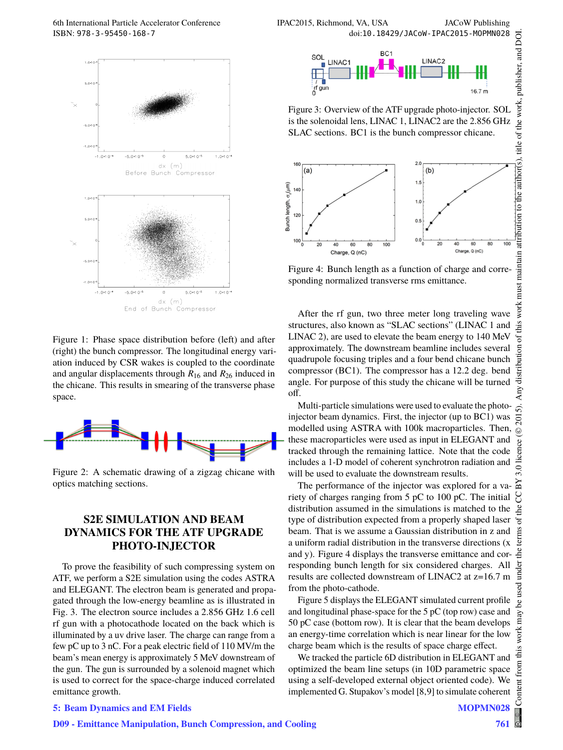

Figure 1: Phase space distribution before (left) and after (right) the bunch compressor. The longitudinal energy variation induced by CSR wakes is coupled to the coordinate and angular displacements through *R*<sup>16</sup> and *R*<sup>26</sup> induced in the chicane. This results in smearing of the transverse phase space.



Figure 2: A schematic drawing of a zigzag chicane with optics matching sections.

### **S2E SIMULATION AND BEAM DYNAMICS FOR THE ATF UPGRADE PHOTO-INJECTOR**

To prove the feasibility of such compressing system on ATF, we perform a S2E simulation using the codes ASTRA and ELEGANT. The electron beam is generated and propagated through the low-energy beamline as is illustrated in Fig. 3. The electron source includes a 2.856 GHz 1.6 cell rf gun with a photocathode located on the back which is illuminated by a uv drive laser. The charge can range from a few pC up to 3 nC. For a peak electric field of 110 MV/m the beam's mean energy is approximately 5 MeV downstream of the gun. The gun is surrounded by a solenoid magnet which is used to correct for the space-charge induced correlated emittance growth.



Figure 3: Overview of the ATF upgrade photo-injector. SOL is the solenoidal lens, LINAC 1, LINAC2 are the 2.856 GHz SLAC sections. BC1 is the bunch compressor chicane.



Figure 4: Bunch length as a function of charge and corresponding normalized transverse rms emittance.

After the rf gun, two three meter long traveling wave structures, also known as "SLAC sections" (LINAC 1 and LINAC 2), are used to elevate the beam energy to 140 MeV approximately. The downstream beamline includes several quadrupole focusing triples and a four bend chicane bunch compressor (BC1). The compressor has a 12.2 deg. bend angle. For purpose of this study the chicane will be turned off.

Multi-particle simulations were used to evaluate the photoinjector beam dynamics. First, the injector (up to BC1) was modelled using ASTRA with 100k macroparticles. Then, these macroparticles were used as input in ELEGANT and tracked through the remaining lattice. Note that the code includes a 1-D model of coherent synchrotron radiation and will be used to evaluate the downstream results.

The performance of the injector was explored for a variety of charges ranging from 5 pC to 100 pC. The initial distribution assumed in the simulations is matched to the type of distribution expected from a properly shaped laser beam. That is we assume a Gaussian distribution in z and a uniform radial distribution in the transverse directions (x and y). Figure 4 displays the transverse emittance and corresponding bunch length for six considered charges. All results are collected downstream of LINAC2 at z=16.7 m from the photo-cathode.

Figure 5 displays the ELEGANT simulated current profile and longitudinal phase-space for the 5 pC (top row) case and 50 pC case (bottom row). It is clear that the beam develops an energy-time correlation which is near linear for the low charge beam which is the results of space charge effect.

We tracked the particle 6D distribution in ELEGANT and optimized the beam line setups (in 10D parametric space using a self-developed external object oriented code). We implemented G. Stupakov's model [8,9] to simulate coherent

#### **5: Beam Dynamics and EM Fields**

Content from this work may be used under the terms of the CC BY 3.0 licence ( $@$ 

ತಿ

work

 $\odot$ 

licence

 $3.0$ ñ g

ð

<u>ia</u>  $He$  $\frac{1}{2}$ Ě

5). 201

Any distri

work must

this đ  $\overline{5}$